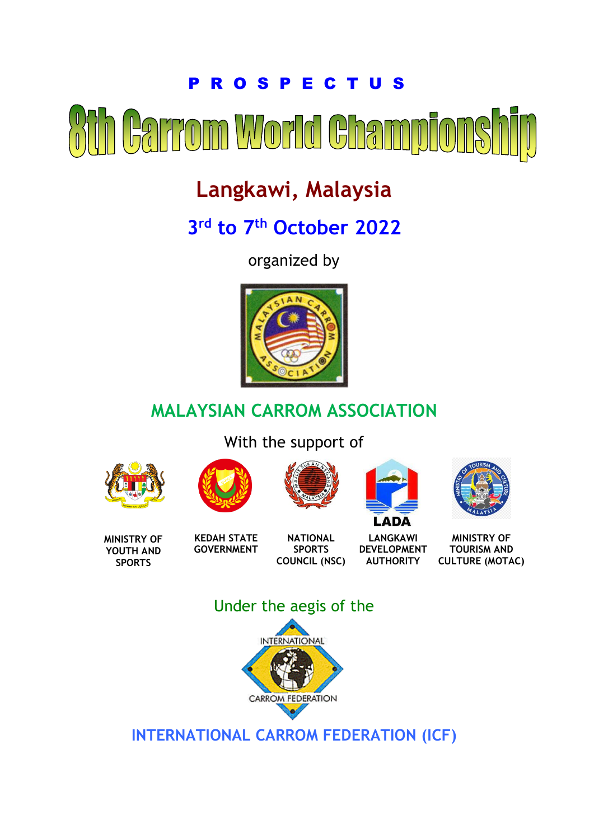# P R O S P E C T U S Garrom World Champio

# **Langkawi, Malaysia**

# **3 rd to 7 th October 2022**

organized by



# **MALAYSIAN CARROM ASSOCIATION**

With the support of











**MINISTRY OF YOUTH AND SPORTS**

**KEDAH STATE GOVERNMENT**

**NATIONAL SPORTS COUNCIL (NSC)**

**LANGKAWI DEVELOPMENT AUTHORITY**

**MINISTRY OF TOURISM AND CULTURE (MOTAC)**

# Under the aegis of the



**INTERNATIONAL CARROM FEDERATION (ICF)**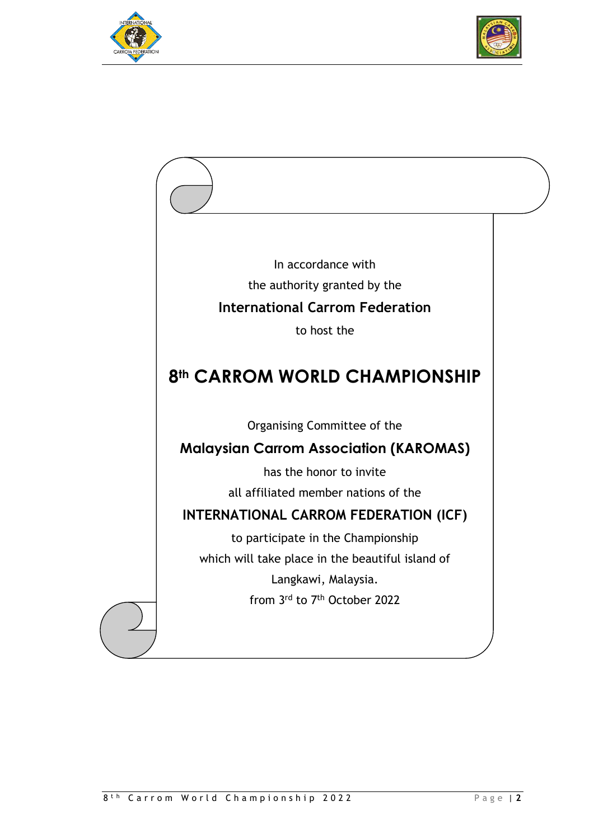



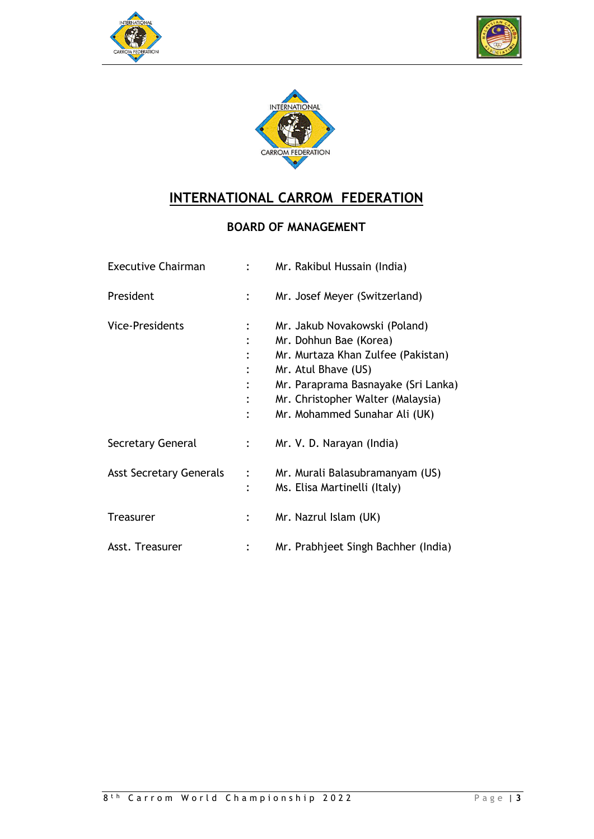





# **INTERNATIONAL CARROM FEDERATION**

### **BOARD OF MANAGEMENT**

| <b>Executive Chairman</b>      |                                  | Mr. Rakibul Hussain (India)                                                                                                                                                                                                       |
|--------------------------------|----------------------------------|-----------------------------------------------------------------------------------------------------------------------------------------------------------------------------------------------------------------------------------|
| President                      |                                  | Mr. Josef Meyer (Switzerland)                                                                                                                                                                                                     |
| <b>Vice-Presidents</b>         | $\ddot{\cdot}$<br>$\ddot{\cdot}$ | Mr. Jakub Novakowski (Poland)<br>Mr. Dohhun Bae (Korea)<br>Mr. Murtaza Khan Zulfee (Pakistan)<br>Mr. Atul Bhave (US)<br>Mr. Paraprama Basnayake (Sri Lanka)<br>Mr. Christopher Walter (Malaysia)<br>Mr. Mohammed Sunahar Ali (UK) |
| Secretary General              |                                  | Mr. V. D. Narayan (India)                                                                                                                                                                                                         |
| <b>Asst Secretary Generals</b> | $\ddot{\cdot}$<br>$\ddot{\cdot}$ | Mr. Murali Balasubramanyam (US)<br>Ms. Elisa Martinelli (Italy)                                                                                                                                                                   |
| Treasurer                      |                                  | Mr. Nazrul Islam (UK)                                                                                                                                                                                                             |
| Asst. Treasurer                |                                  | Mr. Prabhjeet Singh Bachher (India)                                                                                                                                                                                               |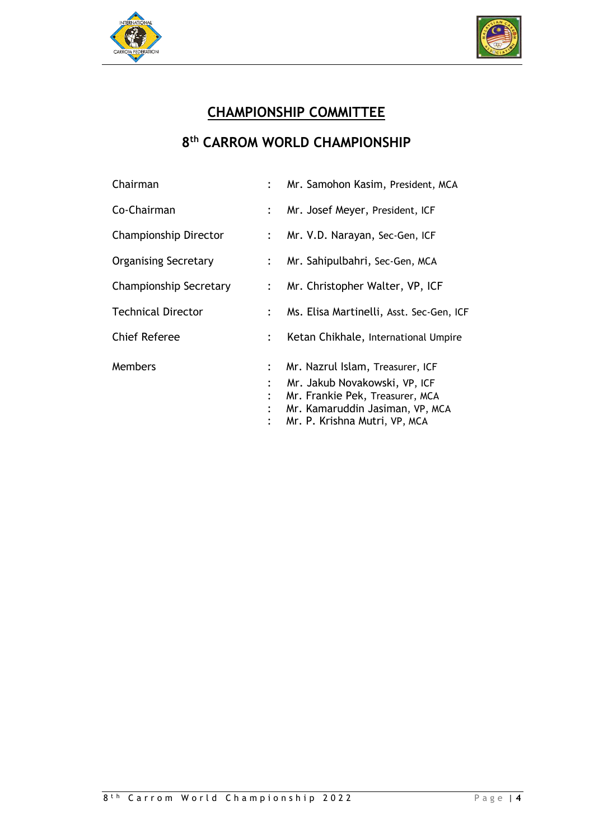



# **CHAMPIONSHIP COMMITTEE**

### **8 th CARROM WORLD CHAMPIONSHIP**

| Chairman                    |                           | Mr. Samohon Kasim, President, MCA        |
|-----------------------------|---------------------------|------------------------------------------|
| Co-Chairman                 |                           | Mr. Josef Meyer, President, ICF          |
| Championship Director       | $\ddot{\cdot}$            | Mr. V.D. Narayan, Sec-Gen, ICF           |
| <b>Organising Secretary</b> |                           | Mr. Sahipulbahri, Sec-Gen, MCA           |
| Championship Secretary      | $\mathbb{R}^{\mathbb{Z}}$ | Mr. Christopher Walter, VP, ICF          |
| <b>Technical Director</b>   | $\ddot{\phantom{a}}$      | Ms. Elisa Martinelli, Asst. Sec-Gen, ICF |
| <b>Chief Referee</b>        |                           | Ketan Chikhale, International Umpire     |
| <b>Members</b>              | $\ddot{\cdot}$            | Mr. Nazrul Islam, Treasurer, ICF         |
|                             |                           | Mr. Jakub Novakowski, VP, ICF            |
|                             |                           | Mr. Frankie Pek, Treasurer, MCA          |
|                             |                           | Mr. Kamaruddin Jasiman, VP, MCA          |
|                             |                           | Mr. P. Krishna Mutri, VP, MCA            |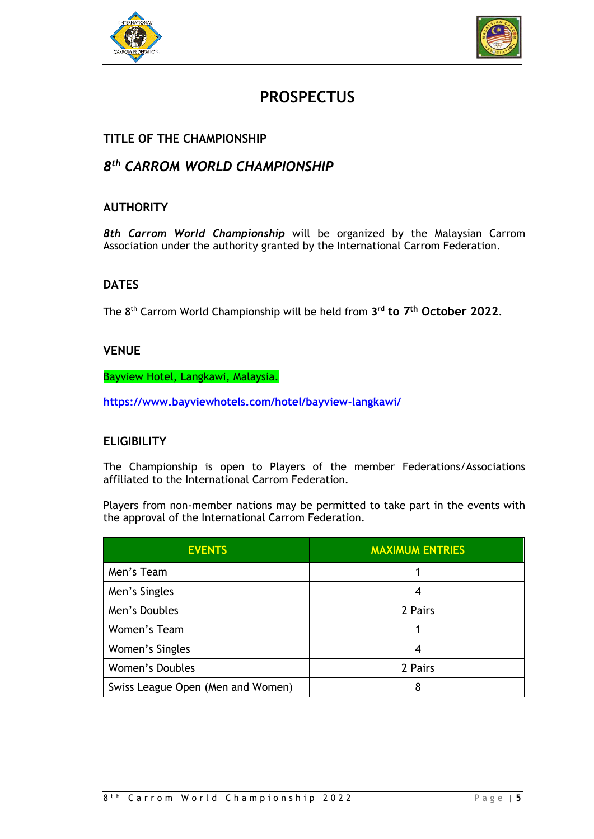



# **PROSPECTUS**

#### **TITLE OF THE CHAMPIONSHIP**

#### *8 th CARROM WORLD CHAMPIONSHIP*

#### **AUTHORITY**

*8th Carrom World Championship* will be organized by the Malaysian Carrom Association under the authority granted by the International Carrom Federation.

#### **DATES**

The 8 th Carrom World Championship will be held from **3 rd to 7 th October 2022**.

#### **VENUE**

Bayview Hotel, Langkawi, Malaysia.

**<https://www.bayviewhotels.com/hotel/bayview-langkawi/>**

#### **ELIGIBILITY**

The Championship is open to Players of the member Federations/Associations affiliated to the International Carrom Federation.

Players from non-member nations may be permitted to take part in the events with the approval of the International Carrom Federation.

| <b>EVENTS</b>                     | <b>MAXIMUM ENTRIES</b> |
|-----------------------------------|------------------------|
| Men's Team                        |                        |
| Men's Singles                     | 4                      |
| Men's Doubles                     | 2 Pairs                |
| Women's Team                      |                        |
| Women's Singles                   | 4                      |
| Women's Doubles                   | 2 Pairs                |
| Swiss League Open (Men and Women) | 8                      |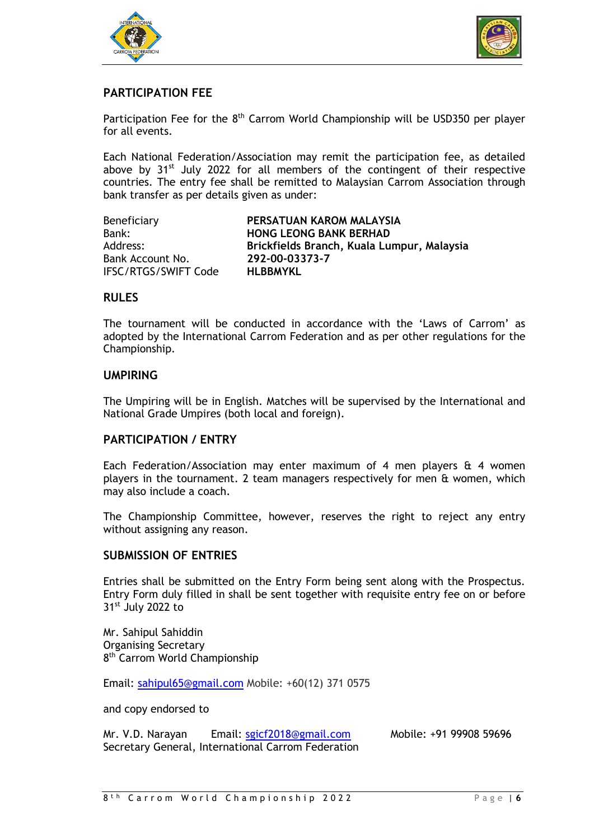



#### **PARTICIPATION FEE**

Participation Fee for the 8<sup>th</sup> Carrom World Championship will be USD350 per player for all events.

Each National Federation/Association may remit the participation fee, as detailed above by 31<sup>st</sup> July 2022 for all members of the contingent of their respective countries. The entry fee shall be remitted to Malaysian Carrom Association through bank transfer as per details given as under:

| Beneficiary          | PERSATUAN KAROM MALAYSIA                   |
|----------------------|--------------------------------------------|
| Bank:                | <b>HONG LEONG BANK BERHAD</b>              |
| Address:             | Brickfields Branch, Kuala Lumpur, Malaysia |
| Bank Account No.     | 292-00-03373-7                             |
| IFSC/RTGS/SWIFT Code | <b>HLBBMYKL</b>                            |

#### **RULES**

The tournament will be conducted in accordance with the 'Laws of Carrom' as adopted by the International Carrom Federation and as per other regulations for the Championship.

#### **UMPIRING**

The Umpiring will be in English. Matches will be supervised by the International and National Grade Umpires (both local and foreign).

#### **PARTICIPATION / ENTRY**

Each Federation/Association may enter maximum of 4 men players  $\hat{a}$  4 women players in the tournament. 2 team managers respectively for men & women, which may also include a coach.

The Championship Committee, however, reserves the right to reject any entry without assigning any reason.

#### **SUBMISSION OF ENTRIES**

Entries shall be submitted on the Entry Form being sent along with the Prospectus. Entry Form duly filled in shall be sent together with requisite entry fee on or before  $31<sup>st</sup>$  July 2022 to

Mr. Sahipul Sahiddin Organising Secretary 8<sup>th</sup> Carrom World Championship

Email: [sahipul65@gmail.com](mailto:sahipul65@gmail.com) Mobile: +60(12) 371 0575

and copy endorsed to

| Mr. V.D. Narayan | Email: sgicf2018@gmail.com                         | Mobile: +91 99908 59696 |
|------------------|----------------------------------------------------|-------------------------|
|                  | Secretary General, International Carrom Federation |                         |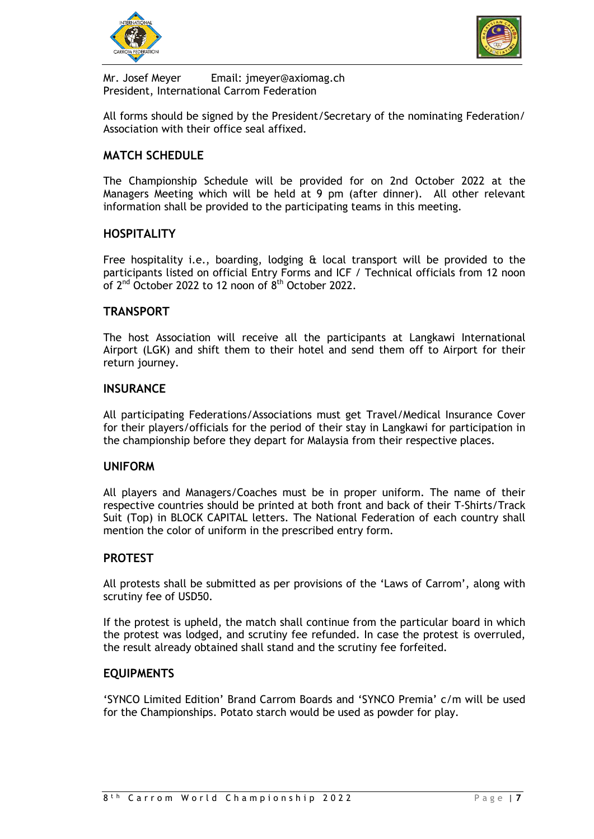



Mr. Josef Meyer Email: jmeyer@axiomag.ch President, International Carrom Federation

All forms should be signed by the President/Secretary of the nominating Federation/ Association with their office seal affixed.

#### **MATCH SCHEDULE**

The Championship Schedule will be provided for on 2nd October 2022 at the Managers Meeting which will be held at 9 pm (after dinner). All other relevant information shall be provided to the participating teams in this meeting.

#### **HOSPITALITY**

Free hospitality i.e., boarding, lodging & local transport will be provided to the participants listed on official Entry Forms and ICF / Technical officials from 12 noon of 2<sup>nd</sup> October 2022 to 12 noon of 8<sup>th</sup> October 2022.

#### **TRANSPORT**

The host Association will receive all the participants at Langkawi International Airport (LGK) and shift them to their hotel and send them off to Airport for their return journey.

#### **INSURANCE**

All participating Federations/Associations must get Travel/Medical Insurance Cover for their players/officials for the period of their stay in Langkawi for participation in the championship before they depart for Malaysia from their respective places.

#### **UNIFORM**

All players and Managers/Coaches must be in proper uniform. The name of their respective countries should be printed at both front and back of their T-Shirts/Track Suit (Top) in BLOCK CAPITAL letters. The National Federation of each country shall mention the color of uniform in the prescribed entry form.

#### **PROTEST**

All protests shall be submitted as per provisions of the 'Laws of Carrom', along with scrutiny fee of USD50.

If the protest is upheld, the match shall continue from the particular board in which the protest was lodged, and scrutiny fee refunded. In case the protest is overruled, the result already obtained shall stand and the scrutiny fee forfeited.

#### **EQUIPMENTS**

'SYNCO Limited Edition' Brand Carrom Boards and 'SYNCO Premia' c/m will be used for the Championships. Potato starch would be used as powder for play.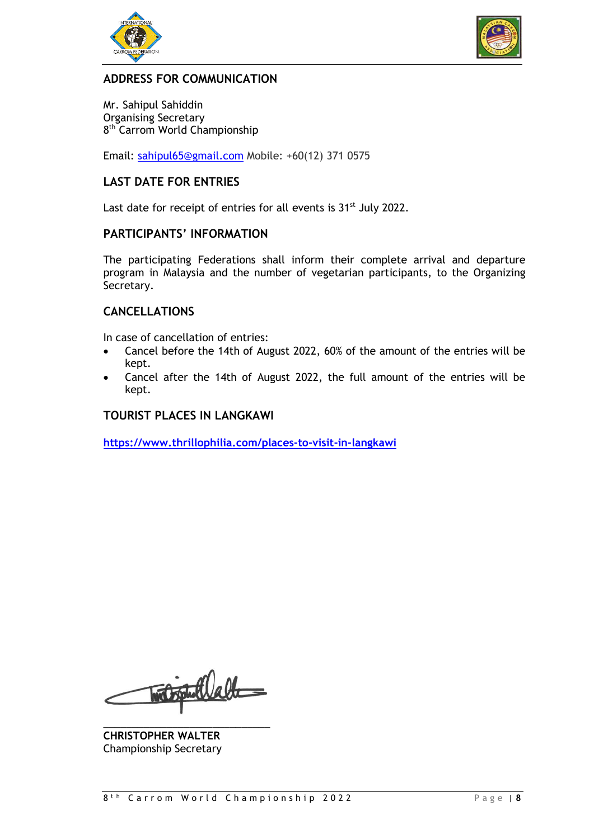



#### **ADDRESS FOR COMMUNICATION**

Mr. Sahipul Sahiddin Organising Secretary 8<sup>th</sup> Carrom World Championship

Email: [sahipul65@gmail.com](mailto:sahipul65@gmail.com) Mobile: +60(12) 371 0575

#### **LAST DATE FOR ENTRIES**

Last date for receipt of entries for all events is 31<sup>st</sup> July 2022.

#### **PARTICIPANTS' INFORMATION**

The participating Federations shall inform their complete arrival and departure program in Malaysia and the number of vegetarian participants, to the Organizing Secretary.

#### **CANCELLATIONS**

In case of cancellation of entries:

- Cancel before the 14th of August 2022, 60% of the amount of the entries will be kept.
- Cancel after the 14th of August 2022, the full amount of the entries will be kept.

#### **TOURIST PLACES IN LANGKAWI**

**<https://www.thrillophilia.com/places-to-visit-in-langkawi>**

mit put latte

\_\_\_\_\_\_\_\_\_\_\_\_\_\_\_\_\_\_\_\_\_\_\_\_\_\_\_\_\_ **CHRISTOPHER WALTER** Championship Secretary